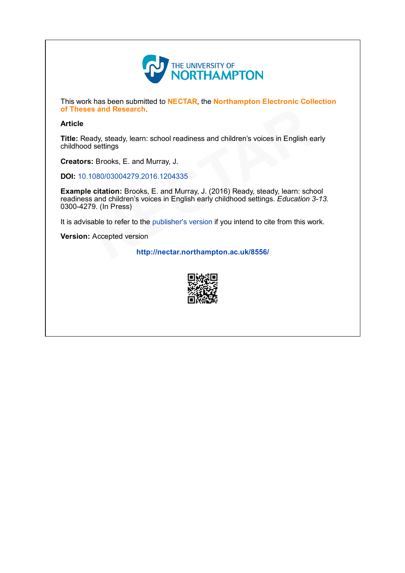

This work has been submitted to NECTAR, the Northampton Electronic Collection of Theses and Research.

#### Article

Title: Ready, steady, learn: school readiness and children's voices in English early childhood settings

Creators: Brooks, E. and Murray, J.

DOI: 10.1080/03004279.2016.1204335

Example citation: Brooks, E. and Murray, J. (2016) Ready, steady, learn: school readiness and children's voices in English early childhood settings. Education 3-13. 03004279. (In Press) of Theses and Research.<br> **Article**<br>
Title: Ready, steady, learn: school readiness and children's voices in English earl<br>
childhood settings<br> **Creators:** Brooks, E. and Murray, J.<br> **DOI:** 10.1080/03004279.2016.1204335<br> **Exa** 

It is advisable to refer to the publisher's version if you intend to cite from this work.

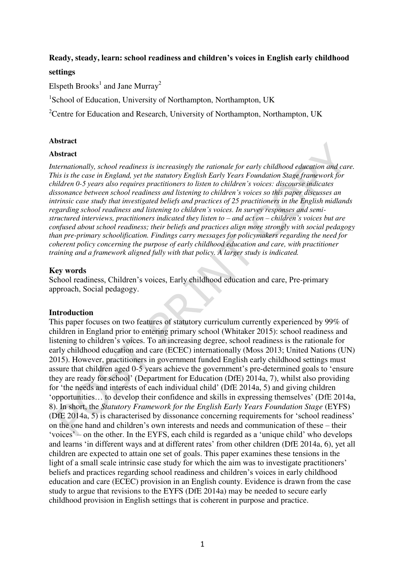# **Ready, steady, learn: school readiness and children's voices in English early childhood**

# **settings**

Elspeth Brooks<sup>1</sup> and Jane Murray<sup>2</sup>

<sup>1</sup>School of Education, University of Northampton, Northampton, UK

<sup>2</sup>Centre for Education and Research, University of Northampton, Northampton, UK

# **Abstract**

#### **Abstract**

*Internationally, school readiness is increasingly the rationale for early childhood education and care. This is the case in England, yet the statutory English Early Years Foundation Stage framework for children 0-5 years also requires practitioners to listen to children's voices: discourse indicates dissonance between school readiness and listening to children's voices so this paper discusses an intrinsic case study that investigated beliefs and practices of 25 practitioners in the English midlands regarding school readiness and listening to children's voices. In survey responses and semistructured interviews, practitioners indicated they listen to – and act on – children's voices but are confused about school readiness; their beliefs and practices align more strongly with social pedagogy than pre-primary schoolification. Findings carry messages for policymakers regarding the need for coherent policy concerning the purpose of early childhood education and care, with practitioner training and a framework aligned fully with that policy. A larger study is indicated.* 

# **Key words**

School readiness, Children's voices, Early childhood education and care, Pre-primary approach, Social pedagogy.

# **Introduction**

This paper focuses on two features of statutory curriculum currently experienced by 99% of children in England prior to entering primary school (Whitaker 2015): school readiness and listening to children's voices. To an increasing degree, school readiness is the rationale for early childhood education and care (ECEC) internationally (Moss 2013; United Nations (UN) 2015). However, practitioners in government funded English early childhood settings must assure that children aged 0-5 years achieve the government's pre-determined goals to 'ensure they are ready for school' (Department for Education (DfE) 2014a, 7), whilst also providing for 'the needs and interests of each individual child' (DfE 2014a, 5) and giving children 'opportunities… to develop their confidence and skills in expressing themselves' (DfE 2014a, 8). In short, the *Statutory Framework for the English Early Years Foundation Stage* (EYFS) (DfE 2014a, 5) is characterised by dissonance concerning requirements for 'school readiness' on the one hand and children's own interests and needs and communication of these – their 'voices' – on the other. In the EYFS, each child is regarded as a 'unique child' who develops and learns 'in different ways and at different rates' from other children (DfE 2014a, 6), yet all children are expected to attain one set of goals. This paper examines these tensions in the light of a small scale intrinsic case study for which the aim was to investigate practitioners' beliefs and practices regarding school readiness and children's voices in early childhood education and care (ECEC) provision in an English county. Evidence is drawn from the case study to argue that revisions to the EYFS (DfE 2014a) may be needed to secure early childhood provision in English settings that is coherent in purpose and practice.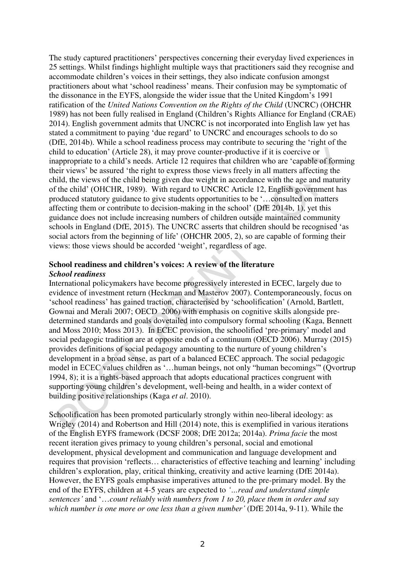The study captured practitioners' perspectives concerning their everyday lived experiences in 25 settings. Whilst findings highlight multiple ways that practitioners said they recognise and accommodate children's voices in their settings, they also indicate confusion amongst practitioners about what 'school readiness' means. Their confusion may be symptomatic of the dissonance in the EYFS, alongside the wider issue that the United Kingdom's 1991 ratification of the *United Nations Convention on the Rights of the Child* (UNCRC) (OHCHR 1989) has not been fully realised in England (Children's Rights Alliance for England (CRAE) 2014). English government admits that UNCRC is not incorporated into English law yet has stated a commitment to paying 'due regard' to UNCRC and encourages schools to do so (DfE, 2014b). While a school readiness process may contribute to securing the 'right of the child to education' (Article 28), it may prove counter-productive if it is coercive or inappropriate to a child's needs. Article 12 requires that children who are 'capable of forming their views' be assured 'the right to express those views freely in all matters affecting the child, the views of the child being given due weight in accordance with the age and maturity of the child' (OHCHR, 1989). With regard to UNCRC Article 12, English government has produced statutory guidance to give students opportunities to be '…consulted on matters affecting them or contribute to decision-making in the school' (DfE 2014b, 1), yet this guidance does not include increasing numbers of children outside maintained community schools in England (DfE, 2015). The UNCRC asserts that children should be recognised 'as social actors from the beginning of life' (OHCHR 2005, 2), so are capable of forming their views: those views should be accorded 'weight', regardless of age.

# **School readiness and children's voices: A review of the literature** *School readiness*

International policymakers have become progressively interested in ECEC, largely due to evidence of investment return (Heckman and Masterov 2007). Contemporaneously, focus on 'school readiness' has gained traction, characterised by 'schoolification' (Arnold, Bartlett, Gownai and Merali 2007; OECD 2006) with emphasis on cognitive skills alongside predetermined standards and goals dovetailed into compulsory formal schooling (Kaga, Bennett and Moss 2010; Moss 2013). In ECEC provision, the schoolified 'pre-primary' model and social pedagogic tradition are at opposite ends of a continuum (OECD 2006). Murray (2015) provides definitions of social pedagogy amounting to the nurture of young children's development in a broad sense, as part of a balanced ECEC approach. The social pedagogic model in ECEC values children as '…human beings, not only "human becomings"' (Qvortrup 1994, 8); it is a rights-based approach that adopts educational practices congruent with supporting young children's development, well-being and health, in a wider context of building positive relationships (Kaga *et al*. 2010).

Schoolification has been promoted particularly strongly within neo-liberal ideology: as Wrigley (2014) and Robertson and Hill (2014) note, this is exemplified in various iterations of the English EYFS framework (DCSF 2008; DfE 2012a; 2014a). *Prima facie* the most recent iteration gives primacy to young children's personal, social and emotional development, physical development and communication and language development and requires that provision 'reflects… characteristics of effective teaching and learning' including children's exploration, play, critical thinking, creativity and active learning (DfE 2014a). However, the EYFS goals emphasise imperatives attuned to the pre-primary model. By the end of the EYFS, children at 4-5 years are expected to *'…read and understand simple sentences'* and '…*count reliably with numbers from 1 to 20, place them in order and say which number is one more or one less than a given number'* (DfE 2014a, 9-11). While the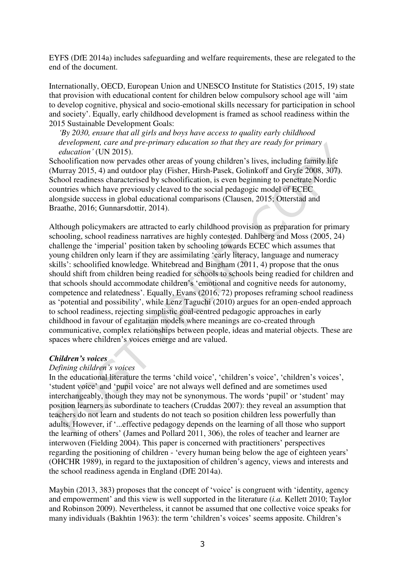EYFS (DfE 2014a) includes safeguarding and welfare requirements, these are relegated to the end of the document.

Internationally, OECD, European Union and UNESCO Institute for Statistics (2015, 19) state that provision with educational content for children below compulsory school age will 'aim to develop cognitive, physical and socio-emotional skills necessary for participation in school and society'. Equally, early childhood development is framed as school readiness within the 2015 Sustainable Development Goals:

*'By 2030, ensure that all girls and boys have access to quality early childhood development, care and pre-primary education so that they are ready for primary education'* (UN 2015).

Schoolification now pervades other areas of young children's lives, including family life (Murray 2015, 4) and outdoor play (Fisher, Hirsh-Pasek, Golinkoff and Gryfe 2008, 307). School readiness characterised by schoolification, is even beginning to penetrate Nordic countries which have previously cleaved to the social pedagogic model of ECEC alongside success in global educational comparisons (Clausen, 2015; Otterstad and Braathe, 2016; Gunnarsdottir, 2014).

Although policymakers are attracted to early childhood provision as preparation for primary schooling, school readiness narratives are highly contested. Dahlberg and Moss (2005, 24) challenge the 'imperial' position taken by schooling towards ECEC which assumes that young children only learn if they are assimilating 'early literacy, language and numeracy skills': schoolified knowledge. Whitebread and Bingham (2011, 4) propose that the onus should shift from children being readied for schools to schools being readied for children and that schools should accommodate children's 'emotional and cognitive needs for autonomy, competence and relatedness'. Equally, Evans (2016, 72) proposes reframing school readiness as 'potential and possibility', while Lenz Taguchi (2010) argues for an open-ended approach to school readiness, rejecting simplistic goal-centred pedagogic approaches in early childhood in favour of egalitarian models where meanings are co-created through communicative, complex relationships between people, ideas and material objects. These are spaces where children's voices emerge and are valued.

#### *Children's voices*

#### *Defining children's voices*

In the educational literature the terms 'child voice', 'children's voice', 'children's voices', 'student voice' and 'pupil voice' are not always well defined and are sometimes used interchangeably, though they may not be synonymous. The words 'pupil' or 'student' may position learners as subordinate to teachers (Cruddas 2007): they reveal an assumption that teachers do not learn and students do not teach so position children less powerfully than adults. However, if '...effective pedagogy depends on the learning of all those who support the learning of others' (James and Pollard 2011, 306), the roles of teacher and learner are interwoven (Fielding 2004). This paper is concerned with practitioners' perspectives regarding the positioning of children - 'every human being below the age of eighteen years' (OHCHR 1989), in regard to the juxtaposition of children's agency, views and interests and the school readiness agenda in England (DfE 2014a).

Maybin (2013, 383) proposes that the concept of 'voice' is congruent with 'identity, agency and empowerment' and this view is well supported in the literature (*i.a.* Kellett 2010; Taylor and Robinson 2009). Nevertheless, it cannot be assumed that one collective voice speaks for many individuals (Bakhtin 1963): the term 'children's voices' seems apposite. Children's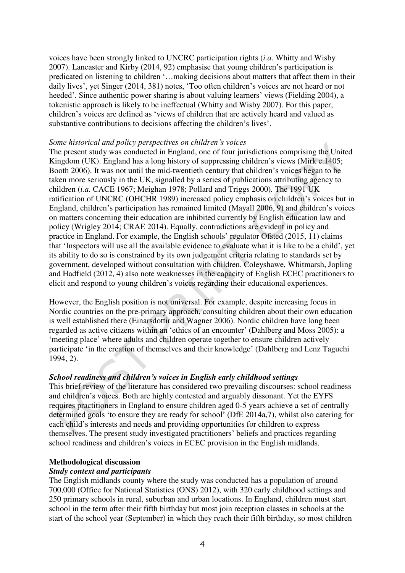voices have been strongly linked to UNCRC participation rights (*i.a*. Whitty and Wisby 2007). Lancaster and Kirby (2014, 92) emphasise that young children's participation is predicated on listening to children '…making decisions about matters that affect them in their daily lives', yet Singer (2014, 381) notes, 'Too often children's voices are not heard or not heeded'. Since authentic power sharing is about valuing learners' views (Fielding 2004), a tokenistic approach is likely to be ineffectual (Whitty and Wisby 2007). For this paper, children's voices are defined as 'views of children that are actively heard and valued as substantive contributions to decisions affecting the children's lives'.

## *Some historical and policy perspectives on children's voices*

The present study was conducted in England, one of four jurisdictions comprising the United Kingdom (UK). England has a long history of suppressing children's views (Mirk c.1405; Booth 2006). It was not until the mid-twentieth century that children's voices began to be taken more seriously in the UK, signalled by a series of publications attributing agency to children (*i.a.* CACE 1967; Meighan 1978; Pollard and Triggs 2000)*.* The 1991 UK ratification of UNCRC (OHCHR 1989) increased policy emphasis on children's voices but in England, children's participation has remained limited (Mayall 2006, 9) and children's voices on matters concerning their education are inhibited currently by English education law and policy (Wrigley 2014; CRAE 2014). Equally, contradictions are evident in policy and practice in England. For example, the English schools' regulator Ofsted (2015, 11) claims that 'Inspectors will use all the available evidence to evaluate what it is like to be a child', yet its ability to do so is constrained by its own judgement criteria relating to standards set by government, developed without consultation with children. Coleyshawe, Whitmarsh, Jopling and Hadfield (2012, 4) also note weaknesses in the capacity of English ECEC practitioners to elicit and respond to young children's voices regarding their educational experiences.

However, the English position is not universal. For example, despite increasing focus in Nordic countries on the pre-primary approach, consulting children about their own education is well established there (Einarsdottir and Wagner 2006). Nordic children have long been regarded as active citizens within an 'ethics of an encounter' (Dahlberg and Moss 2005): a 'meeting place' where adults and children operate together to ensure children actively participate 'in the creation of themselves and their knowledge' (Dahlberg and Lenz Taguchi 1994, 2).

# *School readiness and children's voices in English early childhood settings*

This brief review of the literature has considered two prevailing discourses: school readiness and children's voices. Both are highly contested and arguably dissonant. Yet the EYFS requires practitioners in England to ensure children aged 0-5 years achieve a set of centrally determined goals 'to ensure they are ready for school' (DfE 2014a,7), whilst also catering for each child's interests and needs and providing opportunities for children to express themselves. The present study investigated practitioners' beliefs and practices regarding school readiness and children's voices in ECEC provision in the English midlands.

# **Methodological discussion**

# *Study context and participants*

The English midlands county where the study was conducted has a population of around 700,000 (Office for National Statistics (ONS) 2012), with 320 early childhood settings and 250 primary schools in rural, suburban and urban locations. In England, children must start school in the term after their fifth birthday but most join reception classes in schools at the start of the school year (September) in which they reach their fifth birthday, so most children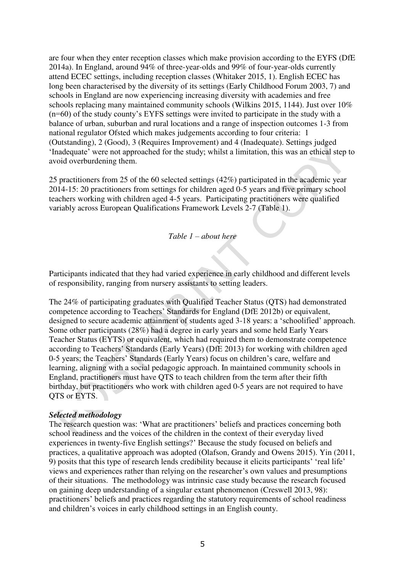are four when they enter reception classes which make provision according to the EYFS (DfE 2014a). In England, around 94% of three-year-olds and 99% of four-year-olds currently attend ECEC settings, including reception classes (Whitaker 2015, 1). English ECEC has long been characterised by the diversity of its settings (Early Childhood Forum 2003, 7) and schools in England are now experiencing increasing diversity with academies and free schools replacing many maintained community schools (Wilkins 2015, 1144). Just over 10% (n=60) of the study county's EYFS settings were invited to participate in the study with a balance of urban, suburban and rural locations and a range of inspection outcomes 1-3 from national regulator Ofsted which makes judgements according to four criteria: 1 (Outstanding), 2 (Good), 3 (Requires Improvement) and 4 (Inadequate). Settings judged 'Inadequate' were not approached for the study; whilst a limitation, this was an ethical step to avoid overburdening them.

25 practitioners from 25 of the 60 selected settings (42%) participated in the academic year 2014-15: 20 practitioners from settings for children aged 0-5 years and five primary school teachers working with children aged 4-5 years. Participating practitioners were qualified variably across European Qualifications Framework Levels 2-7 (Table 1).

*Table 1 – about here* 

Participants indicated that they had varied experience in early childhood and different levels of responsibility, ranging from nursery assistants to setting leaders.

The 24% of participating graduates with Qualified Teacher Status (QTS) had demonstrated competence according to Teachers' Standards for England (DfE 2012b) or equivalent, designed to secure academic attainment of students aged 3-18 years: a 'schoolified' approach. Some other participants (28%) had a degree in early years and some held Early Years Teacher Status (EYTS) or equivalent, which had required them to demonstrate competence according to Teachers' Standards (Early Years) (DfE 2013) for working with children aged 0-5 years; the Teachers' Standards (Early Years) focus on children's care, welfare and learning, aligning with a social pedagogic approach. In maintained community schools in England, practitioners must have QTS to teach children from the term after their fifth birthday, but practitioners who work with children aged 0-5 years are not required to have QTS or EYTS.

# *Selected methodology*

The research question was: 'What are practitioners' beliefs and practices concerning both school readiness and the voices of the children in the context of their everyday lived experiences in twenty-five English settings?' Because the study focused on beliefs and practices, a qualitative approach was adopted (Olafson, Grandy and Owens 2015). Yin (2011, 9) posits that this type of research lends credibility because it elicits participants' 'real life' views and experiences rather than relying on the researcher's own values and presumptions of their situations. The methodology was intrinsic case study because the research focused on gaining deep understanding of a singular extant phenomenon (Creswell 2013, 98): practitioners' beliefs and practices regarding the statutory requirements of school readiness and children's voices in early childhood settings in an English county.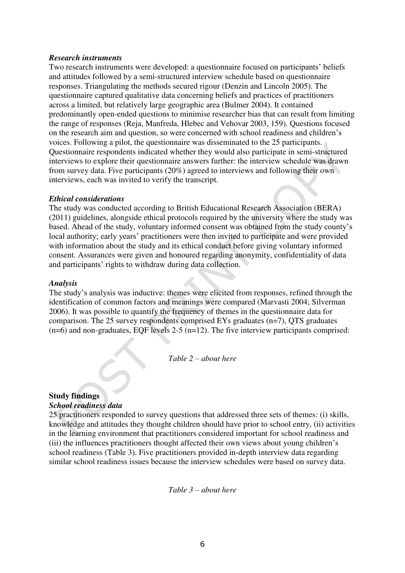#### *Research instruments*

Two research instruments were developed: a questionnaire focused on participants' beliefs and attitudes followed by a semi-structured interview schedule based on questionnaire responses. Triangulating the methods secured rigour (Denzin and Lincoln 2005). The questionnaire captured qualitative data concerning beliefs and practices of practitioners across a limited, but relatively large geographic area (Bulmer 2004). It contained predominantly open-ended questions to minimise researcher bias that can result from limiting the range of responses (Reja, Manfreda, Hlebec and Vehovar 2003, 159). Questions focused on the research aim and question, so were concerned with school readiness and children's voices. Following a pilot, the questionnaire was disseminated to the 25 participants. Questionnaire respondents indicated whether they would also participate in semi-structured interviews to explore their questionnaire answers further: the interview schedule was drawn from survey data. Five participants (20%) agreed to interviews and following their own interviews, each was invited to verify the transcript.

# *Ethical considerations*

The study was conducted according to British Educational Research Association (BERA) (2011) guidelines, alongside ethical protocols required by the university where the study was based. Ahead of the study, voluntary informed consent was obtained from the study county's local authority; early years' practitioners were then invited to participate and were provided with information about the study and its ethical conduct before giving voluntary informed consent. Assurances were given and honoured regarding anonymity, confidentiality of data and participants' rights to withdraw during data collection.

#### *Analysis*

The study's analysis was inductive: themes were elicited from responses, refined through the identification of common factors and meanings were compared (Marvasti 2004; Silverman 2006). It was possible to quantify the frequency of themes in the questionnaire data for comparison. The 25 survey respondents comprised EYs graduates (n=7), QTS graduates  $(n=6)$  and non-graduates, EQF levels 2-5  $(n=12)$ . The five interview participants comprised:

*Table 2 – about here* 

# **Study findings**

#### *School readiness data*

25 practitioners responded to survey questions that addressed three sets of themes: (i) skills, knowledge and attitudes they thought children should have prior to school entry, (ii) activities in the learning environment that practitioners considered important for school readiness and (iii) the influences practitioners thought affected their own views about young children's school readiness (Table 3). Five practitioners provided in-depth interview data regarding similar school readiness issues because the interview schedules were based on survey data.

*Table 3 – about here*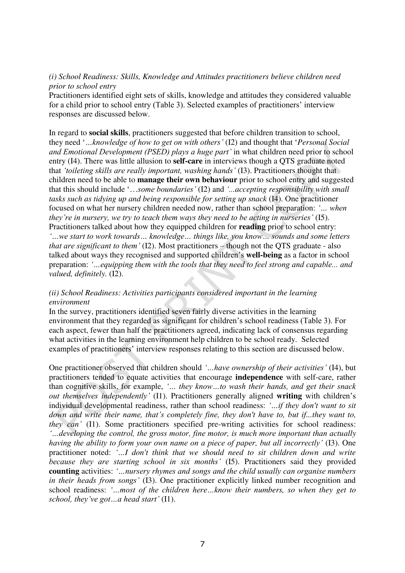# *(i) School Readiness: Skills, Knowledge and Attitudes practitioners believe children need prior to school entry*

Practitioners identified eight sets of skills, knowledge and attitudes they considered valuable for a child prior to school entry (Table 3). Selected examples of practitioners' interview responses are discussed below.

In regard to **social skills**, practitioners suggested that before children transition to school, they need '*…knowledge of how to get on with others'* (I2) and thought that '*Personal Social and Emotional Development (PSED) plays a huge part'* in what children need prior to school entry (I4). There was little allusion to **self-care** in interviews though a QTS graduate noted that *'toileting skills are really important, washing hands'* (I3). Practitioners thought that children need to be able to **manage their own behaviour** prior to school entry and suggested that this should include '…*some boundaries'* (I2) and *'...accepting responsibility with small tasks such as tidying up and being responsible for setting up snack* (I4). One practitioner focused on what her nursery children needed now, rather than school preparation: *'… when they're in nursery, we try to teach them ways they need to be acting in nurseries'* (I5). Practitioners talked about how they equipped children for **reading** prior to school entry: *'…we start to work towards… knowledge… things like, you know… sounds and some letters that are significant to them'* (I2). Most practitioners – though not the QTS graduate - also talked about ways they recognised and supported children's **well-being** as a factor in school preparation: *'…equipping them with the tools that they need to feel strong and capable... and valued, definitely.* (I2).

# *(ii) School Readiness: Activities participants considered important in the learning environment*

In the survey, practitioners identified seven fairly diverse activities in the learning environment that they regarded as significant for children's school readiness (Table 3). For each aspect, fewer than half the practitioners agreed, indicating lack of consensus regarding what activities in the learning environment help children to be school ready. Selected examples of practitioners' interview responses relating to this section are discussed below.

One practitioner observed that children should *'…have ownership of their activities'* (I4), but practitioners tended to equate activities that encourage **independence** with self-care, rather than cognitive skills, for example, *'… they know…to wash their hands, and get their snack out themselves independently'* (I1). Practitioners generally aligned **writing** with children's individual developmental readiness, rather than school readiness: *'…if they don't want to sit down and write their name, that's completely fine, they don't have to, but if...they want to, they can'* (I1). Some practitioners specified pre-writing activities for school readiness: *'…developing the control, the gross motor, fine motor, is much more important than actually having the ability to form your own name on a piece of paper, but all incorrectly'* (I3). One practitioner noted: *'…I don't think that we should need to sit children down and write because they are starting school in six months'* (I5). Practitioners said they provided **counting** activities: *'…nursery rhymes and songs and the child usually can organise numbers in their heads from songs'* (I3). One practitioner explicitly linked number recognition and school readiness: *'…most of the children here…know their numbers, so when they get to school, they've got…a head start'* (I1).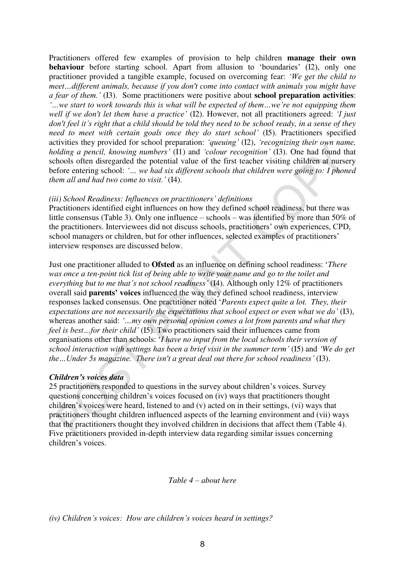Practitioners offered few examples of provision to help children **manage their own behaviour** before starting school. Apart from allusion to 'boundaries' (I2), only one practitioner provided a tangible example, focused on overcoming fear: *'We get the child to meet…different animals, because if you don't come into contact with animals you might have a fear of them.'* (I3). Some practitioners were positive about **school preparation activities**: *'…we start to work towards this is what will be expected of them…we're not equipping them well if we don't let them have a practice'* (I2). However, not all practitioners agreed: *'I just don't feel it's right that a child should be told they need to be school ready, in a sense of they need to meet with certain goals once they do start school'* (I5). Practitioners specified activities they provided for school preparation: *'queuing'* (I2), *'recognizing their own name, holding a pencil, knowing numbers'* (I1) and *'colour recognition'* (I3). One had found that schools often disregarded the potential value of the first teacher visiting children at nursery before entering school: *'… we had six different schools that children were going to: I phoned them all and had two come to visit.'* (I4).

# *(iii) School Readiness: Influences on practitioners' definitions*

Practitioners identified eight influences on how they defined school readiness, but there was little consensus (Table 3). Only one influence – schools – was identified by more than 50% of the practitioners. Interviewees did not discuss schools, practitioners' own experiences, CPD, school managers or children, but for other influences, selected examples of practitioners' interview responses are discussed below.

Just one practitioner alluded to **Ofsted** as an influence on defining school readiness: '*There was once a ten-point tick list of being able to write your name and go to the toilet and everything but to me that's not school readiness'* (I4). Although only 12% of practitioners overall said **parents' voices** influenced the way they defined school readiness, interview responses lacked consensus. One practitioner noted '*Parents expect quite a lot. They, their expectations are not necessarily the expectations that school expect or even what we do'* (I3), whereas another said: *'…my own personal opinion comes a lot from parents and what they feel is best...for their child'* (I5). Two practitioners said their influences came from organisations other than schools: '*I have no input from the local schools their version of school interaction with settings has been a brief visit in the summer term'* (I5) and *'We do get the…Under 5s magazine. There isn't a great deal out there for school readiness'* (I3).

# *Children's voices data*

25 practitioners responded to questions in the survey about children's voices. Survey questions concerning children's voices focused on (iv) ways that practitioners thought children's voices were heard, listened to and (v) acted on in their settings, (vi) ways that practitioners thought children influenced aspects of the learning environment and (vii) ways that the practitioners thought they involved children in decisions that affect them (Table 4). Five practitioners provided in-depth interview data regarding similar issues concerning children's voices.

## *Table 4 – about here*

*(iv) Children's voices: How are children's voices heard in settings?*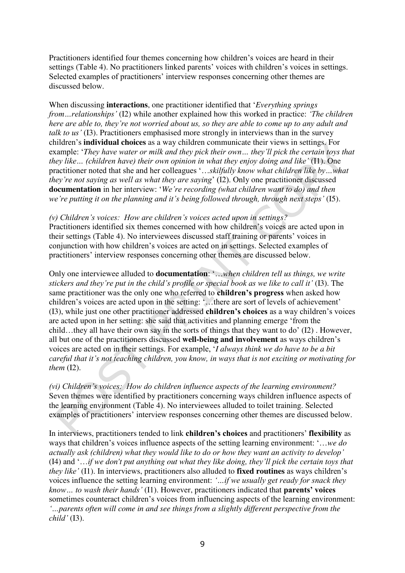Practitioners identified four themes concerning how children's voices are heard in their settings (Table 4). No practitioners linked parents' voices with children's voices in settings. Selected examples of practitioners' interview responses concerning other themes are discussed below.

When discussing **interactions**, one practitioner identified that '*Everything springs from…relationships'* (I2) while another explained how this worked in practice: *'The children here are able to, they're not worried about us, so they are able to come up to any adult and talk to us'* (I3). Practitioners emphasised more strongly in interviews than in the survey children's **individual choices** as a way children communicate their views in settings. For example: '*They have water or milk and they pick their own*... they'll pick the certain toys that *they like… (children have) their own opinion in what they enjoy doing and like'* (I1). One practitioner noted that she and her colleagues '…*skilfully know what children like by…what they're not saying as well as what they are saying*' (I2). Only one practitioner discussed **documentation** in her interview: '*We're recording (what children want to do) and then we're putting it on the planning and it's being followed through, through next steps'* (I5).

*(v) Children's voices: How are children's voices acted upon in settings?*  Practitioners identified six themes concerned with how children's voices are acted upon in their settings (Table 4). No interviewees discussed staff training or parents' voices in conjunction with how children's voices are acted on in settings. Selected examples of practitioners' interview responses concerning other themes are discussed below.

Only one interviewee alluded to **documentation**: '…*when children tell us things, we write stickers and they're put in the child's profile or special book as we like to call it'* (I3). The same practitioner was the only one who referred to **children's progress** when asked how children's voices are acted upon in the setting: '…there are sort of levels of achievement' (I3), while just one other practitioner addressed **children's choices** as a way children's voices are acted upon in her setting: she said that activities and planning emerge 'from the child…they all have their own say in the sorts of things that they want to do' (I2) . However, all but one of the practitioners discussed **well-being and involvement** as ways children's voices are acted on in their settings. For example, '*I always think we do have to be a bit careful that it's not teaching children, you know, in ways that is not exciting or motivating for them* (I2).

*(vi) Children's voices: How do children influence aspects of the learning environment?*  Seven themes were identified by practitioners concerning ways children influence aspects of the learning environment (Table 4). No interviewees alluded to toilet training. Selected examples of practitioners' interview responses concerning other themes are discussed below.

In interviews, practitioners tended to link **children's choices** and practitioners' **flexibility** as ways that children's voices influence aspects of the setting learning environment: '…*we do actually ask (children) what they would like to do or how they want an activity to develop'* (I4) and '…*if we don't put anything out what they like doing, they'll pick the certain toys that they like'* (I1). In interviews, practitioners also alluded to **fixed routines** as ways children's voices influence the setting learning environment: *'…if we usually get ready for snack they know… to wash their hands'* (I1). However, practitioners indicated that **parents' voices** sometimes counteract children's voices from influencing aspects of the learning environment: *'…parents often will come in and see things from a slightly different perspective from the child'* (I3).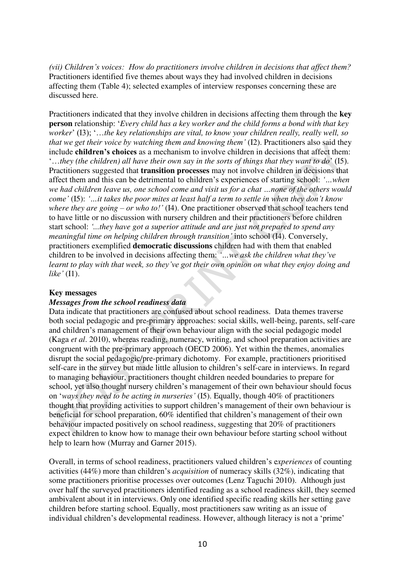*(vii) Children's voices: How do practitioners involve children in decisions that affect them?* Practitioners identified five themes about ways they had involved children in decisions affecting them (Table 4); selected examples of interview responses concerning these are discussed here.

Practitioners indicated that they involve children in decisions affecting them through the **key person** relationship: '*Every child has a key worker and the child forms a bond with that key worker*' (I3); '…*the key relationships are vital, to know your children really, really well, so that we get their voice by watching them and knowing them'* (I2). Practitioners also said they include **children's choices** as a mechanism to involve children in decisions that affect them: '…*they (the children) all have their own say in the sorts of things that they want to do*' (I5). Practitioners suggested that **transition processes** may not involve children in decisions that affect them and this can be detrimental to children's experiences of starting school: *'…when we had children leave us, one school come and visit us for a chat …none of the others would come'* (I5): *'…it takes the poor mites at least half a term to settle in when they don't know where they are going – or who to!'* (I4). One practitioner observed that school teachers tend to have little or no discussion with nursery children and their practitioners before children start school: *'...they have got a superior attitude and are just not prepared to spend any meaningful time on helping children through transition'* into school (I4). Conversely, practitioners exemplified **democratic discussions** children had with them that enabled children to be involved in decisions affecting them: *'…we ask the children what they've learnt to play with that week, so they've got their own opinion on what they enjoy doing and like'* (I1).

# **Key messages**

# *Messages from the school readiness data*

Data indicate that practitioners are confused about school readiness. Data themes traverse both social pedagogic and pre-primary approaches: social skills, well-being, parents, self-care and children's management of their own behaviour align with the social pedagogic model (Kaga *et al*. 2010), whereas reading, numeracy, writing, and school preparation activities are congruent with the pre-primary approach (OECD 2006). Yet within the themes, anomalies disrupt the social pedagogic/pre-primary dichotomy. For example, practitioners prioritised self-care in the survey but made little allusion to children's self-care in interviews. In regard to managing behaviour, practitioners thought children needed boundaries to prepare for school, yet also thought nursery children's management of their own behaviour should focus on '*ways they need to be acting in nurseries'* (I5). Equally, though 40% of practitioners thought that providing activities to support children's management of their own behaviour is beneficial for school preparation, 60% identified that children's management of their own behaviour impacted positively on school readiness, suggesting that 20% of practitioners expect children to know how to manage their own behaviour before starting school without help to learn how (Murray and Garner 2015).

Overall, in terms of school readiness, practitioners valued children's e*xperiences* of counting activities (44%) more than children's *acquisition* of numeracy skills (32%), indicating that some practitioners prioritise processes over outcomes (Lenz Taguchi 2010). Although just over half the surveyed practitioners identified reading as a school readiness skill, they seemed ambivalent about it in interviews. Only one identified specific reading skills her setting gave children before starting school. Equally, most practitioners saw writing as an issue of individual children's developmental readiness. However, although literacy is not a 'prime'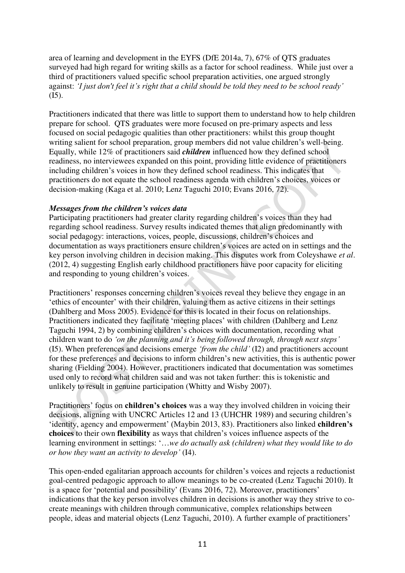area of learning and development in the EYFS (DfE 2014a, 7), 67% of QTS graduates surveyed had high regard for writing skills as a factor for school readiness. While just over a third of practitioners valued specific school preparation activities, one argued strongly against: *'I just don't feel it's right that a child should be told they need to be school ready'* (I5).

Practitioners indicated that there was little to support them to understand how to help children prepare for school. QTS graduates were more focused on pre-primary aspects and less focused on social pedagogic qualities than other practitioners: whilst this group thought writing salient for school preparation, group members did not value children's well-being. Equally, while 12% of practitioners said *children* influenced how they defined school readiness, no interviewees expanded on this point, providing little evidence of practitioners including children's voices in how they defined school readiness. This indicates that practitioners do not equate the school readiness agenda with children's choices, voices or decision-making (Kaga et al. 2010; Lenz Taguchi 2010; Evans 2016, 72).

# *Messages from the children's voices data*

Participating practitioners had greater clarity regarding children's voices than they had regarding school readiness. Survey results indicated themes that align predominantly with social pedagogy: interactions, voices, people, discussions, children's choices and documentation as ways practitioners ensure children's voices are acted on in settings and the key person involving children in decision making. This disputes work from Coleyshawe *et al*. (2012, 4) suggesting English early childhood practitioners have poor capacity for eliciting and responding to young children's voices.

Practitioners' responses concerning children's voices reveal they believe they engage in an 'ethics of encounter' with their children, valuing them as active citizens in their settings (Dahlberg and Moss 2005). Evidence for this is located in their focus on relationships. Practitioners indicated they facilitate 'meeting places' with children (Dahlberg and Lenz Taguchi 1994, 2) by combining children's choices with documentation, recording what children want to do *'on the planning and it's being followed through, through next steps'*  (I5). When preferences and decisions emerge *'from the child'* (I2) and practitioners account for these preferences and decisions to inform children's new activities, this is authentic power sharing (Fielding 2004). However, practitioners indicated that documentation was sometimes used only to record what children said and was not taken further: this is tokenistic and unlikely to result in genuine participation (Whitty and Wisby 2007).

Practitioners' focus on **children's choices** was a way they involved children in voicing their decisions, aligning with UNCRC Articles 12 and 13 (UHCHR 1989) and securing children's 'identity, agency and empowerment' (Maybin 2013, 83). Practitioners also linked **children's choices** to their own **flexibility** as ways that children's voices influence aspects of the learning environment in settings: '…*we do actually ask (children) what they would like to do or how they want an activity to develop'* (I4).

This open-ended egalitarian approach accounts for children's voices and rejects a reductionist goal-centred pedagogic approach to allow meanings to be co-created (Lenz Taguchi 2010). It is a space for 'potential and possibility' (Evans 2016, 72). Moreover, practitioners' indications that the key person involves children in decisions is another way they strive to cocreate meanings with children through communicative, complex relationships between people, ideas and material objects (Lenz Taguchi, 2010). A further example of practitioners'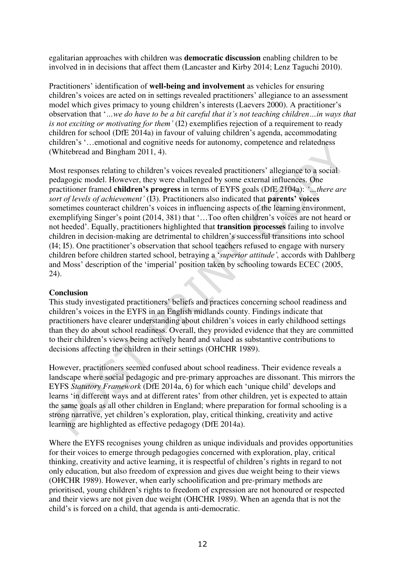egalitarian approaches with children was **democratic discussion** enabling children to be involved in in decisions that affect them (Lancaster and Kirby 2014; Lenz Taguchi 2010).

Practitioners' identification of **well-being and involvement** as vehicles for ensuring children's voices are acted on in settings revealed practitioners' allegiance to an assessment model which gives primacy to young children's interests (Laevers 2000). A practitioner's observation that '*…we do have to be a bit careful that it's not teaching children…in ways that is not exciting or motivating for them'* (I2) exemplifies rejection of a requirement to ready children for school (DfE 2014a) in favour of valuing children's agenda, accommodating children's '…emotional and cognitive needs for autonomy, competence and relatedness (Whitebread and Bingham 2011, 4).

Most responses relating to children's voices revealed practitioners' allegiance to a social pedagogic model. However, they were challenged by some external influences. One practitioner framed **children's progress** in terms of EYFS goals (DfE 2104a): *'…there are sort of levels of achievement'* (I3). Practitioners also indicated that **parents' voices** sometimes counteract children's voices in influencing aspects of the learning environment, exemplifying Singer's point (2014, 381) that '…Too often children's voices are not heard or not heeded'. Equally, practitioners highlighted that **transition processes** failing to involve children in decision-making are detrimental to children's successful transitions into school (I4; I5). One practitioner's observation that school teachers refused to engage with nursery children before children started school, betraying a '*superior attitude',* accords with Dahlberg and Moss' description of the 'imperial' position taken by schooling towards ECEC (2005, 24).

# **Conclusion**

This study investigated practitioners' beliefs and practices concerning school readiness and children's voices in the EYFS in an English midlands county. Findings indicate that practitioners have clearer understanding about children's voices in early childhood settings than they do about school readiness. Overall, they provided evidence that they are committed to their children's views being actively heard and valued as substantive contributions to decisions affecting the children in their settings (OHCHR 1989).

However, practitioners seemed confused about school readiness. Their evidence reveals a landscape where social pedagogic and pre-primary approaches are dissonant. This mirrors the EYFS *Statutory Framework* (DfE 2014a, 6) for which each 'unique child' develops and learns 'in different ways and at different rates' from other children, yet is expected to attain the same goals as all other children in England; where preparation for formal schooling is a strong narrative, yet children's exploration, play, critical thinking, creativity and active learning are highlighted as effective pedagogy (DfE 2014a).

Where the EYFS recognises young children as unique individuals and provides opportunities for their voices to emerge through pedagogies concerned with exploration, play, critical thinking, creativity and active learning, it is respectful of children's rights in regard to not only education, but also freedom of expression and gives due weight being to their views (OHCHR 1989). However, when early schoolification and pre-primary methods are prioritised, young children's rights to freedom of expression are not honoured or respected and their views are not given due weight (OHCHR 1989). When an agenda that is not the child's is forced on a child, that agenda is anti-democratic.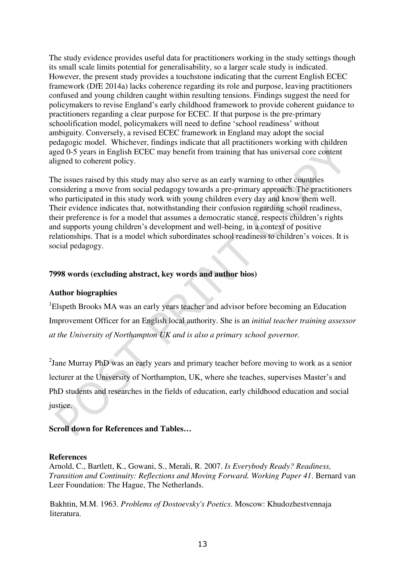The study evidence provides useful data for practitioners working in the study settings though its small scale limits potential for generalisability, so a larger scale study is indicated. However, the present study provides a touchstone indicating that the current English ECEC framework (DfE 2014a) lacks coherence regarding its role and purpose, leaving practitioners confused and young children caught within resulting tensions. Findings suggest the need for policymakers to revise England's early childhood framework to provide coherent guidance to practitioners regarding a clear purpose for ECEC. If that purpose is the pre-primary schoolification model, policymakers will need to define 'school readiness' without ambiguity. Conversely, a revised ECEC framework in England may adopt the social pedagogic model. Whichever, findings indicate that all practitioners working with children aged 0-5 years in English ECEC may benefit from training that has universal core content aligned to coherent policy.

The issues raised by this study may also serve as an early warning to other countries considering a move from social pedagogy towards a pre-primary approach. The practitioners who participated in this study work with young children every day and know them well. Their evidence indicates that, notwithstanding their confusion regarding school readiness, their preference is for a model that assumes a democratic stance, respects children's rights and supports young children's development and well-being, in a context of positive relationships. That is a model which subordinates school readiness to children's voices. It is social pedagogy.

# **7998 words (excluding abstract, key words and author bios)**

# **Author biographies**

<sup>1</sup>Elspeth Brooks MA was an early years teacher and advisor before becoming an Education Improvement Officer for an English local authority. She is an *initial teacher training assessor at the University of Northampton UK and is also a primary school governor.*

 $2$ Jane Murray PhD was an early years and primary teacher before moving to work as a senior lecturer at the University of Northampton, UK, where she teaches, supervises Master's and PhD students and researches in the fields of education, early childhood education and social justice.

# **Scroll down for References and Tables…**

#### **References**

Arnold, C., Bartlett, K., Gowani, S., Merali, R. 2007. *Is Everybody Ready? Readiness, Transition and Continuity: Reflections and Moving Forward. Working Paper 41*. Bernard van Leer Foundation: The Hague, The Netherlands.

Bakhtin, M.M. 1963. *Problems of Dostoevsky's Poetics*. Moscow: Khudozhestvennaja literatura.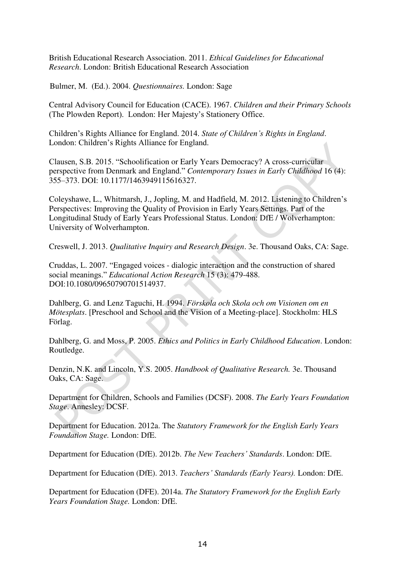British Educational Research Association. 2011. *Ethical Guidelines for Educational Research*. London: British Educational Research Association

Bulmer, M. (Ed.). 2004. *Questionnaires.* London: Sage

Central Advisory Council for Education (CACE). 1967. *Children and their Primary Schools* (The Plowden Report). London: Her Majesty's Stationery Office.

Children's Rights Alliance for England. 2014. *State of Children's Rights in England*. London: Children's Rights Alliance for England.

Clausen, S.B. 2015. "Schoolification or Early Years Democracy? A cross-curricular perspective from Denmark and England." *Contemporary Issues in Early Childhood* 16 (4): 355–373. DOI: 10.1177/1463949115616327.

Coleyshawe, L., Whitmarsh, J., Jopling, M. and Hadfield, M. 2012. Listening to Children's Perspectives: Improving the Quality of Provision in Early Years Settings. Part of the Longitudinal Study of Early Years Professional Status. London: DfE / Wolverhampton: University of Wolverhampton.

Creswell, J. 2013. *Qualitative Inquiry and Research Design*. 3e. Thousand Oaks, CA: Sage.

Cruddas, L. 2007. "Engaged voices - dialogic interaction and the construction of shared social meanings." *Educational Action Research* 15 (3): 479-488. DOI:10.1080/09650790701514937.

Dahlberg, G. and Lenz Taguchi, H. 1994. *Förskola och Skola och om Visionen om en Mötesplats*. [Preschool and School and the Vision of a Meeting-place]. Stockholm: HLS Förlag.

Dahlberg, G. and Moss, P. 2005. *Ethics and Politics in Early Childhood Education*. London: Routledge.

Denzin, N.K. and Lincoln, Y.S. 2005. *Handbook of Qualitative Research.* 3e. Thousand Oaks, CA: Sage.

Department for Children, Schools and Families (DCSF). 2008. *The Early Years Foundation Stage*. Annesley: DCSF.

Department for Education. 2012a. The *Statutory Framework for the English Early Years Foundation Stage.* London: DfE.

Department for Education (DfE). 2012b. *The New Teachers' Standards*. London: DfE.

Department for Education (DfE). 2013. *Teachers' Standards (Early Years).* London: DfE.

Department for Education (DFE). 2014a. *The Statutory Framework for the English Early Years Foundation Stage.* London: DfE.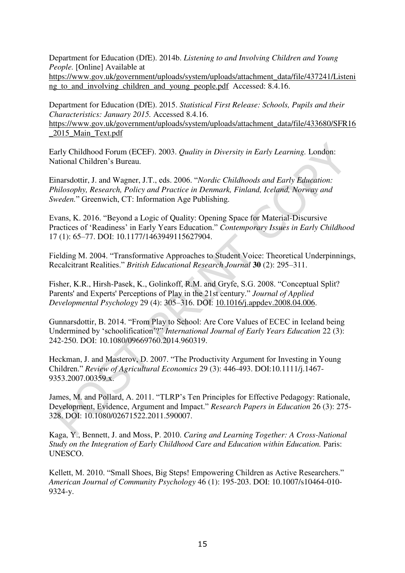Department for Education (DfE). 2014b. *Listening to and Involving Children and Young People.* [Online] Available at

[https://www.gov.uk/government/uploads/system/uploads/attachment\\_data/file/437241/Listeni](https://www.gov.uk/government/uploads/system/uploads/attachment_data/file/437241/Listening_to_and_involving_children_and_young_people.pdf) ng to and involving children and young people.pdf Accessed: 8.4.16.

Department for Education (DfE). 2015. *Statistical First Release: Schools, Pupils and their Characteristics: January 2015.* Accessed 8.4.16.

[https://www.gov.uk/government/uploads/system/uploads/attachment\\_data/file/433680/SFR16](https://www.gov.uk/government/uploads/system/uploads/attachment_data/file/433680/SFR16_2015_Main_Text.pdf) [\\_2015\\_Main\\_Text.pdf](https://www.gov.uk/government/uploads/system/uploads/attachment_data/file/433680/SFR16_2015_Main_Text.pdf) 

Early Childhood Forum (ECEF). 2003. *Quality in Diversity in Early Learning.* London: National Children's Bureau.

Einarsdottir, J. and Wagner, J.T., eds. 2006. "*Nordic Childhoods and Early Education: Philosophy, Research, Policy and Practice in Denmark, Finland, Iceland, Norway and Sweden.*" Greenwich, CT: Information Age Publishing.

Evans, K. 2016. "Beyond a Logic of Quality: Opening Space for Material-Discursive Practices of 'Readiness' in Early Years Education." *Contemporary Issues in Early Childhood* 17 (1): 65–77. DOI: 10.1177/1463949115627904.

Fielding M. 2004. "Transformative Approaches to Student Voice: Theoretical Underpinnings, Recalcitrant Realities." *British Educational Research Journal* **30** (2): 295–311.

Fisher, K.R., Hirsh-Pasek, K., Golinkoff, R.M. and Gryfe, S.G. 2008. "Conceptual Split? Parents' and Experts' Perceptions of Play in the 21st century." *Journal of Applied Developmental Psychology* 29 (4): 305–316. DOI: [10.1016/j.appdev.2008.04.006.](http://dx.doi.org/10.1016/j.appdev.2008.04.006)

Gunnarsdottir, B. 2014. "From Play to School: Are Core Values of ECEC in Iceland being Undermined by 'schoolification'?" *International Journal of Early Years Education* 22 (3): 242-250. DOI: 10.1080/09669760.2014.960319.

Heckman, J. and Masterov, D. 2007. "The Productivity Argument for Investing in Young Children." *Review of Agricultural Economics* 29 (3): 446-493. DOI:10.1111/j.1467- 9353.2007.00359.x.

James, M. and Pollard, A. 2011. "TLRP's Ten Principles for Effective Pedagogy: Rationale, Development, Evidence, Argument and Impact." *Research Papers in Education* 26 (3): 275- 328. DOI: 10.1080/02671522.2011.590007.

Kaga, Y., Bennett, J. and Moss, P. 2010. *Caring and Learning Together: A Cross-National Study on the Integration of Early Childhood Care and Education within Education.* Paris: UNESCO.

Kellett, M. 2010. "Small Shoes, Big Steps! Empowering Children as Active Researchers." *American Journal of Community Psychology* 46 (1): 195-203. DOI: 10.1007/s10464-010- 9324-y.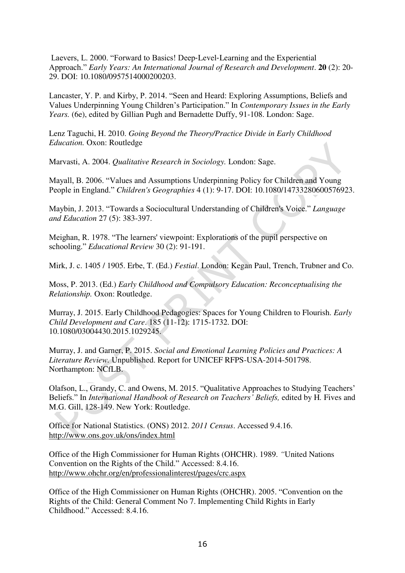Laevers, L. 2000. "Forward to Basics! Deep‐Level‐Learning and the Experiential Approach." *Early Years: An International Journal of Research and Development*. **20** (2): 20- 29. DOI: 10.1080/0957514000200203.

Lancaster, Y. P. and Kirby, P. 2014. "Seen and Heard: Exploring Assumptions, Beliefs and Values Underpinning Young Children's Participation." In *Contemporary Issues in the Early Years.* (6e), edited by Gillian Pugh and Bernadette Duffy, 91-108. London: Sage.

Lenz Taguchi, H. 2010. *Going Beyond the Theory/Practice Divide in Early Childhood Education.* Oxon: Routledge

Marvasti, A. 2004. *Qualitative Research in Sociology.* London: Sage.

Mayall, B. 2006. "Values and Assumptions Underpinning Policy for Children and Young People in England." *Children's Geographies* 4 (1): 9-17. DOI: 10.1080/14733280600576923.

Maybin, J. 2013. "Towards a Sociocultural Understanding of Children's Voice." *Language and Education* 27 (5): 383-397.

Meighan, R. 1978. "The learners' viewpoint: Explorations of the pupil perspective on schooling." *Educational Review* 30 (2): 91-191.

Mirk, J. c. 1405 / 1905. Erbe, T. (Ed.) *Festial*. London: Kegan Paul, Trench, Trubner and Co.

Moss, P. 2013. (Ed.) *Early Childhood and Compulsory Education: Reconceptualising the Relationship.* Oxon: Routledge.

Murray, J. 2015. Early Childhood Pedagogies: Spaces for Young Children to Flourish. *Early Child Development and Care*. 185 (11-12): 1715-1732. DOI: 10.1080/03004430.2015.1029245.

Murray, J. and Garner, P. 2015. *Social and Emotional Learning Policies and Practices: A Literature Review.* Unpublished. Report for UNICEF RFPS-USA-2014-501798. Northampton: NCfLB.

Olafson, L., Grandy, C. and Owens, M. 2015. "Qualitative Approaches to Studying Teachers' Beliefs." In *International Handbook of Research on Teachers' Beliefs*, edited by H. Fives and M.G. Gill, 128-149. New York: Routledge.

Office for National Statistics. (ONS) 2012. *2011 Census*. Accessed 9.4.16. <http://www.ons.gov.uk/ons/index.html>

Office of the High Commissioner for Human Rights (OHCHR). 1989. *"*United Nations Convention on the Rights of the Child." Accessed: 8.4.16. <http://www.ohchr.org/en/professionalinterest/pages/crc.aspx>

Office of the High Commissioner on Human Rights (OHCHR). 2005. "Convention on the Rights of the Child: General Comment No 7. Implementing Child Rights in Early Childhood." Accessed: 8.4.16.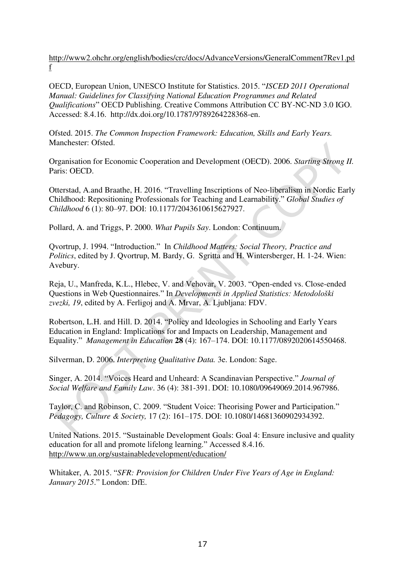[http://www2.ohchr.org/english/bodies/crc/docs/AdvanceVersions/GeneralComment7Rev1.pd](http://www2.ohchr.org/english/bodies/crc/docs/AdvanceVersions/GeneralComment7Rev1.pdf) [f](http://www2.ohchr.org/english/bodies/crc/docs/AdvanceVersions/GeneralComment7Rev1.pdf) 

OECD, European Union, UNESCO Institute for Statistics. 2015. "*ISCED 2011 Operational Manual: Guidelines for Classifying National Education Programmes and Related Qualifications*" OECD Publishing. Creative Commons Attribution CC BY-NC-ND 3.0 IGO. Accessed: 8.4.16. http://dx.doi.org/10.1787/9789264228368-en.

Ofsted. 2015. *The Common Inspection Framework: Education, Skills and Early Years.*  Manchester: Ofsted.

Organisation for Economic Cooperation and Development (OECD). 2006. *Starting Strong II.*  Paris: OECD.

Otterstad, A.and Braathe, H. 2016. "Travelling Inscriptions of Neo-liberalism in Nordic Early Childhood: Repositioning Professionals for Teaching and Learnability." *Global Studies of Childhood* 6 (1): 80–97. DOI: 10.1177/2043610615627927.

Pollard, A. and Triggs, P. 2000. *What Pupils Say*. London: Continuum.

Qvortrup, J. 1994. "Introduction." In *Childhood Matters: Social Theory, Practice and Politics*, edited by J. Qvortrup, M. Bardy, G. Sgritta and H. Wintersberger, H. 1-24. Wien: Avebury.

Reja, U., Manfreda, K.L., Hlebec, V. and Vehovar, V. 2003. "Open-ended vs. Close-ended Questions in Web Questionnaires." In *Developments in Applied Statistics: Metodološki zvezki, 19*, edited by A. Ferligoj and A. Mrvar, A. Ljubljana: FDV.

Robertson, L.H. and Hill. D. 2014. "Policy and Ideologies in Schooling and Early Years Education in England: Implications for and Impacts on Leadership, Management and Equality." *Management in Education* **28** (4): 167–174. DOI: 10.1177/0892020614550468.

Silverman, D. 2006. *Interpreting Qualitative Data.* 3e. London: Sage.

Singer, A. 2014. "Voices Heard and Unheard: A Scandinavian Perspective." *Journal of Social Welfare and Family Law*. 36 (4): 381-391. DOI: 10.1080/09649069.2014.967986.

Taylor, C. and Robinson, C. 2009. "Student Voice: Theorising Power and Participation." *Pedagogy, Culture & Society,* 17 (2): 161–175. DOI: 10.1080/14681360902934392.

United Nations. 2015. "Sustainable Development Goals: Goal 4: Ensure inclusive and quality education for all and promote lifelong learning." Accessed 8.4.16. <http://www.un.org/sustainabledevelopment/education/>

Whitaker, A. 2015. "*SFR: Provision for Children Under Five Years of Age in England: January 2015*." London: DfE.